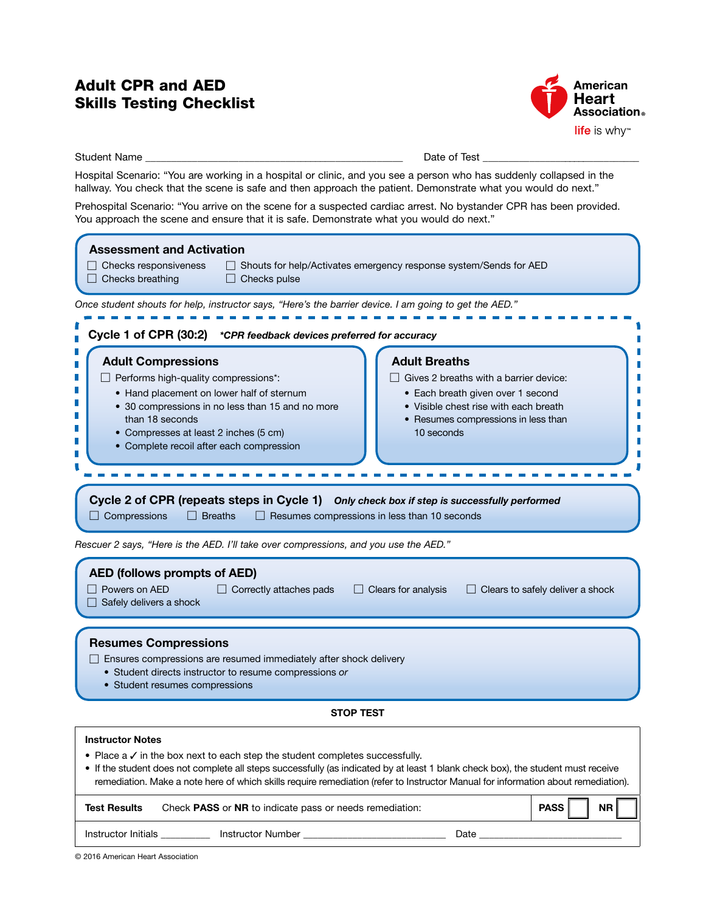# **Skills Testing Checklist** Adult CPR and AED



Student Name \_\_\_\_\_\_\_\_\_\_\_\_\_\_\_\_\_\_\_\_\_\_\_\_\_\_\_\_\_\_\_\_\_\_\_\_\_\_\_\_\_\_\_\_\_\_\_\_\_\_ Date of Test \_\_\_\_\_\_\_\_\_\_\_\_\_\_\_\_\_\_\_\_\_\_\_\_\_\_\_\_\_\_\_

Hospital Scenario: "You are working in a hospital or clinic, and you see a person who has suddenly collapsed in the hallway. You check that the scene is safe and then approach the patient. Demonstrate what you would do next."

Prehospital Scenario: "You arrive on the scene for a suspected cardiac arrest. No bystander CPR has been provided. You approach the scene and ensure that it is safe. Demonstrate what you would do next."

| <b>Assessment and Activation</b><br>$\Box$ Checks responsiveness<br>□ Shouts for help/Activates emergency response system/Sends for AED                                                                                                                                                                                                                    |  |  |
|------------------------------------------------------------------------------------------------------------------------------------------------------------------------------------------------------------------------------------------------------------------------------------------------------------------------------------------------------------|--|--|
| $\Box$ Checks breathing<br>$\Box$ Checks pulse                                                                                                                                                                                                                                                                                                             |  |  |
| Once student shouts for help, instructor says, "Here's the barrier device. I am going to get the AED."<br>Cycle 1 of CPR (30:2) *CPR feedback devices preferred for accuracy                                                                                                                                                                               |  |  |
|                                                                                                                                                                                                                                                                                                                                                            |  |  |
| Cycle 2 of CPR (repeats steps in Cycle 1) Only check box if step is successfully performed<br>$\Box$ Compressions<br>$\Box$ Breaths<br>$\Box$ Resumes compressions in less than 10 seconds<br>Rescuer 2 says, "Here is the AED. I'll take over compressions, and you use the AED."                                                                         |  |  |
| <b>AED (follows prompts of AED)</b><br>Powers on AED<br>$\Box$ Clears for analysis<br>$\Box$ Correctly attaches pads<br>$\Box$ Clears to safely deliver a shock<br>Safely delivers a shock                                                                                                                                                                 |  |  |
| <b>Resumes Compressions</b><br>$\Box$ Ensures compressions are resumed immediately after shock delivery<br>• Student directs instructor to resume compressions or<br>• Student resumes compressions                                                                                                                                                        |  |  |
| <b>STOP TEST</b>                                                                                                                                                                                                                                                                                                                                           |  |  |
| <b>Instructor Notes</b>                                                                                                                                                                                                                                                                                                                                    |  |  |
| • Place $a \vee$ in the box next to each step the student completes successfully.<br>• If the student does not complete all steps successfully (as indicated by at least 1 blank check box), the student must receive<br>remediation. Make a note here of which skills require remediation (refer to Instructor Manual for information about remediation). |  |  |
| Check PASS or NR to indicate pass or needs remediation:<br>PASS<br><b>NR</b><br><b>Test Results</b>                                                                                                                                                                                                                                                        |  |  |
| Instructor Initials __________<br>Date $\_\_$                                                                                                                                                                                                                                                                                                              |  |  |